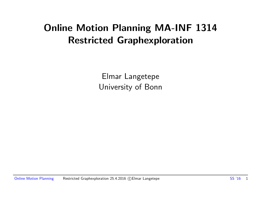## Online Motion Planning MA-INF 1314 Restricted Graphexploration

Elmar Langetepe University of Bonn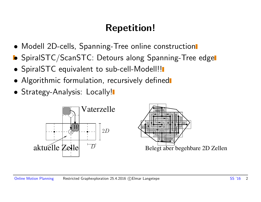# Repetition!

- Modell 2D-cells, Spanning-Tree online construction
- **•** SpiralSTC/ScanSTC: Detours along Spanning-Tree edge
- SpiralSTC equivalent to sub-cell-Modell!!
- Algorithmic formulation, recursively defined
- Strategy-Analysis: Locally!

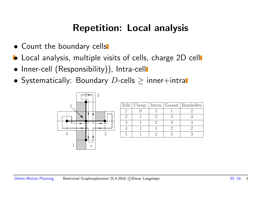## Repetition: Local analysis

- Count the boundary cells
- **•** Local analysis, multiple visits of cells, charge 2D cell
- Inner-cell (Responsibility)), Intra-cell
- Systematically: Boundary  $D$ -cells  $\geq$  inner+intral



|  |  | Zelle   Ubergr.   Intern   Gesamt   Randzellen |
|--|--|------------------------------------------------|
|  |  |                                                |
|  |  |                                                |
|  |  |                                                |
|  |  |                                                |
|  |  |                                                |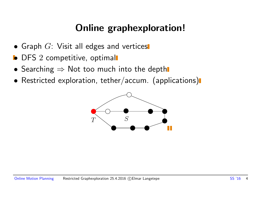# Online graphexploration!

- Graph  $G$ : Visit all edges and vertices
- **•** DFS 2 competitive, optimal
- Searching  $\Rightarrow$  Not too much into the depth
- Restricted exploration, tether/accum. (applications)

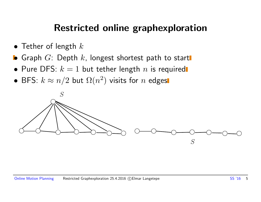### Restricted online graphexploration

- Tether of length  $k$
- **•** Graph  $G$ : Depth  $k$ , longest shortest path to start
- Pure DFS:  $k = 1$  but tether length n is required
- BFS:  $k \approx n/2$  but  $\Omega(n^2)$  visits for  $n$  edges

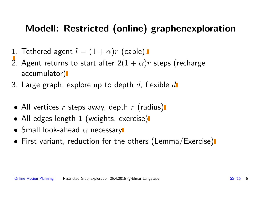## Modell: Restricted (online) graphenexploration

- 1. Tethered agent  $l = (1 + \alpha)r$  (cable).
- 2. Agent returns to start after  $2(1 + \alpha)r$  steps (recharge accumulator)
- 3. Large graph, explore up to depth  $d$ , flexible  $d$
- All vertices  $r$  steps away, depth  $r$  (radius)
- All edges length 1 (weights, exercise)
- Small look-ahead  $\alpha$  necessary
- First variant, reduction for the others (Lemma/Exercise)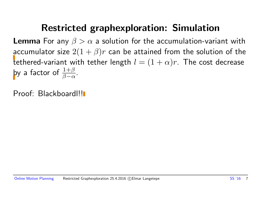### Restricted graphexploration: Simulation

**Lemma** For any  $\beta > \alpha$  a solution for the accumulation-variant with accumulator size  $2(1 + \beta)r$  can be attained from the solution of the tethered-variant with tether length  $l = (1 + \alpha)r$ . The cost decrease by a factor of  $\frac{1+\beta}{\beta-\alpha}$ .

Proof: Blackboard!!!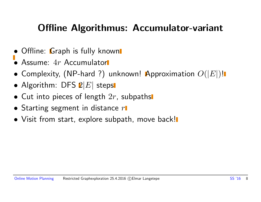## Offline Algorithmus: Accumulator-variant

- Offline: Graph is fully known
- $\bullet$  Assume:  $4r$  Accumulator
- Complexity, (NP-hard ?) unknown! Approximation  $O(|E|)!$
- Algorithm: DFS  $2|E|$  steps
- Cut into pieces of length  $2r$ , subpaths
- Starting segment in distance  $r\blacksquare$
- Visit from start, explore subpath, move back!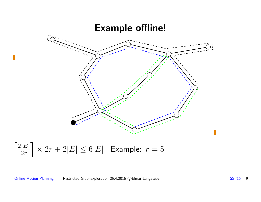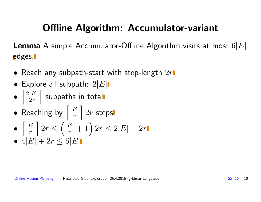# Offline Algorithm: Accumulator-variant

**Lemma** A simple Accumulator-Offline Algorithm visits at most  $6|E|$ edges.

- Reach any subpath-start with step-length  $2r$
- Explore all subpath:  $2|E|$
- $\lceil 2|E|$  $2r$  $\overline{\phantom{a}}$ subpaths in total
- Reaching by  $\sqrt{\frac{|E|}{r}}$ r  $\overline{\phantom{a}}$  $2r$  steps
- $\lceil |E|$ r  $\overline{\phantom{a}}$  $2r \leq$  $\left(\frac{|E|}{r} + 1\right)2r \leq 2|E| + 2r$
- $4|E| + 2r \leq 6|E|$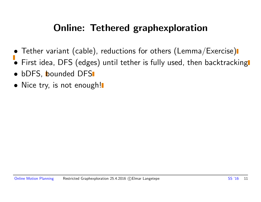## Online: Tethered graphexploration

- Tether variant (cable), reductions for others (Lemma/Exercise)
- First idea, DFS (edges) until tether is fully used, then backtracking
- bDFS, bounded DFS
- Nice try, is not enough!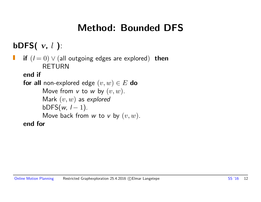## Method: Bounded DFS

bDFS $(v, l)$ :

if  $(l = 0)$   $\vee$  (all outgoing edges are explored) then RETURN

end if

```
for all non-explored edge (v, w) \in E do
      Move from v to w by (v, w).
      Mark (v, w) as explored
      bDFS(w, 1 - 1).
      Move back from w to v by (v, w).
end for
```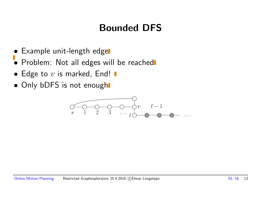# Bounded DFS

- Example unit-length edge
- Problem: Not all edges will be reached
- Edge to  $v$  is marked, End!  $\blacksquare$
- Only bDFS is not enough

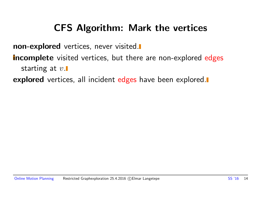## CFS Algorithm: Mark the vertices

non-explored vertices, never visited.

**incomplete** visited vertices, but there are non-explored edges starting at  $v$ .

**explored** vertices, all incident edges have been explored.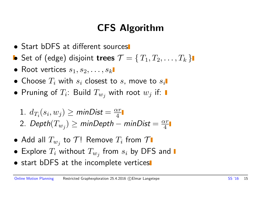# CFS Algorithm

- Start bDFS at different sources
- Set of (edge) disjoint trees  $\mathcal{T} = \{T_1, T_2, \ldots, T_k\}$
- Root vertices  $s_1, s_2, \ldots, s_k$
- Choose  $T_i$  with  $s_i$  closest to  $s_i$ , move to  $s_i$ .
- Pruning of  $T_i$ : Build  $T_{w_j}$  with root  $w_j$  if:
	- 1.  $d_{T_i}(s_i, w_j) \ge \text{minDist} = \frac{\alpha r}{4}$ 4 2. Depth $(T_{w_j}) \geq \mathsf{minDepth} - \mathsf{minDist} = \frac{\alpha r}{4}$ 4
- $\bullet$  Add all  $T_{w_j}$  to  $\mathcal{T}!$  Remove  $T_i$  from  $\mathcal T$
- $\bullet\,$  Explore  $T_i$  without  $T_{w_j}$  from  $s_i$  by DFS and
- start bDFS at the incomplete vertices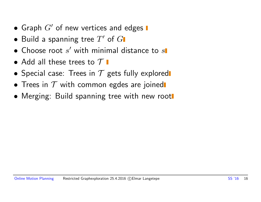- Graph  $G'$  of new vertices and edges  $\blacksquare$
- $\bullet$  Build a spanning tree  $T'$  of  $G$
- $\bullet$  Choose root  $s'$  with minimal distance to  $s$
- Add all these trees to  $\mathcal T$   $\blacksquare$
- Special case: Trees in  $T$  gets fully explored
- Trees in  $T$  with common egdes are joined
- Merging: Build spanning tree with new root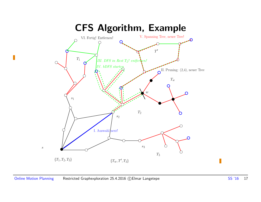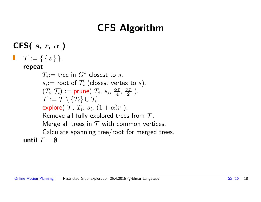# CFS Algorithm

CFS( $s, r, \alpha$ )  $\mathcal{T} := \{ \{ s \} \}.$ Ш repeat  $T_i$ := tree in  $G^*$  closest to  $s$ .  $s_i$ : $=$  root of  $T_i$  (closest vertex to  $s$ ).  $(T_i, \mathcal{T}_i) := \textsf{prune}(T_i, s_i, \frac{\alpha r}{4})$  $\frac{\alpha r}{4}$ ,  $\frac{\alpha r}{2}$  $\frac{\alpha r}{2}$ ).  $\mathcal{T}:=\mathcal{T}\setminus\{T_i\}\cup\mathcal{T}_i.$ explore $(\mathcal{T}, T_i, s_i, (1+\alpha)r$  ). Remove all fully explored trees from  $T$ . Merge all trees in  $T$  with common vertices. Calculate spanning tree/root for merged trees. until  $\mathcal{T} = \emptyset$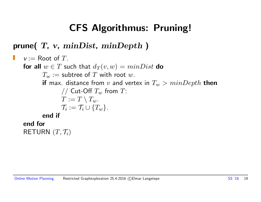## CFS Algorithmus: Pruning!

#### prune(  $T$ ,  $v$ ,  $minDist$ ,  $minDepth$ )

```
v := Root of T.
Ш
   for all w \in T such that d_T(v, w) = minDist do
           T_w := subtree of T with root w.
           if max. distance from v and vertex in T_w > minDepth then
                   // Cut-Off T_w from T:
                   T := T \setminus T_w.
                   \mathcal{T}_i := \mathcal{T}_i \cup \{T_w\}.end if
   end for
    RETURN (T, \mathcal{T}_i)
```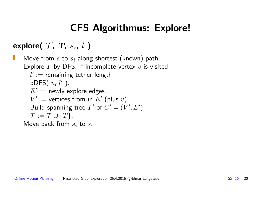# CFS Algorithmus: Explore!

explore(  $\mathcal{T}$ ,  $T$ ,  $s_i$ ,  $l$  )

Move from  $s$  to  $s_i$  along shortest (known) path. Explore  $T$  by DFS. If incomplete vertex  $v$  is visited:  $l' :=$  remaining tether length. bDFS $(v, l')$ .  $E' :=$  newly explore edges.  $V' :=$  vertices from in  $E'$  (plus v). Build spanning tree T' of  $G' = (V', E')$ .  $\mathcal{T} := \mathcal{T} \cup \{T\}.$ Move back from  $s_i$  to s.